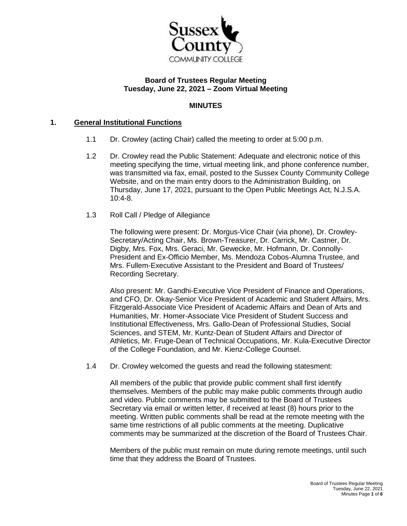

# **Board of Trustees Regular Meeting Tuesday, June 22, 2021 – Zoom Virtual Meeting**

# **MINUTES**

### **1. General Institutional Functions**

- 1.1 Dr. Crowley (acting Chair) called the meeting to order at 5:00 p.m.
- 1.2 Dr. Crowley read the Public Statement: Adequate and electronic notice of this meeting specifying the time, virtual meeting link, and phone conference number, was transmitted via fax, email, posted to the Sussex County Community College Website, and on the main entry doors to the Administration Building, on Thursday, June 17, 2021, pursuant to the Open Public Meetings Act, N.J.S.A. 10:4-8.
- 1.3 Roll Call / Pledge of Allegiance

The following were present: Dr. Morgus-Vice Chair (via phone), Dr. Crowley-Secretary/Acting Chair, Ms. Brown-Treasurer, Dr. Carrick, Mr. Castner, Dr. Digby, Mrs. Fox, Mrs. Geraci, Mr. Gewecke, Mr. Hofmann, Dr. Connolly-President and Ex-Officio Member, Ms. Mendoza Cobos-Alumna Trustee, and Mrs. Fullem-Executive Assistant to the President and Board of Trustees/ Recording Secretary.

Also present: Mr. Gandhi-Executive Vice President of Finance and Operations, and CFO, Dr. Okay-Senior Vice President of Academic and Student Affairs, Mrs. Fitzgerald-Associate Vice President of Academic Affairs and Dean of Arts and Humanities, Mr. Homer-Associate Vice President of Student Success and Institutional Effectiveness, Mrs. Gallo-Dean of Professional Studies, Social Sciences, and STEM, Mr. Kuntz-Dean of Student Affairs and Director of Athletics, Mr. Fruge-Dean of Technical Occupations, Mr. Kula-Executive Director of the College Foundation, and Mr. Kienz-College Counsel.

1.4 Dr. Crowley welcomed the guests and read the following statesment:

All members of the public that provide public comment shall first identify themselves. Members of the public may make public comments through audio and video. Public comments may be submitted to the Board of Trustees Secretary via email or written letter, if received at least (8) hours prior to the meeting. Written public comments shall be read at the remote meeting with the same time restrictions of all public comments at the meeting. Duplicative comments may be summarized at the discretion of the Board of Trustees Chair.

Members of the public must remain on mute during remote meetings, until such time that they address the Board of Trustees.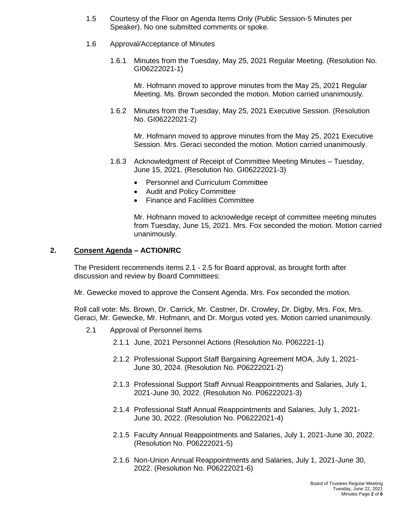- 1.5 Courtesy of the Floor on Agenda Items Only (Public Session-5 Minutes per Speaker). No one submitted comments or spoke.
- 1.6 Approval/Acceptance of Minutes
	- 1.6.1 Minutes from the Tuesday, May 25, 2021 Regular Meeting. (Resolution No. GI06222021-1)

Mr. Hofmann moved to approve minutes from the May 25, 2021 Regular Meeting. Ms. Brown seconded the motion. Motion carried unanimously.

1.6.2 Minutes from the Tuesday, May 25, 2021 Executive Session. (Resolution No. GI06222021-2)

Mr. Hofmann moved to approve minutes from the May 25, 2021 Executive Session. Mrs. Geraci seconded the motion. Motion carried unanimously.

- 1.6.3 Acknowledgment of Receipt of Committee Meeting Minutes Tuesday, June 15, 2021. (Resolution No. GI06222021-3)
	- Personnel and Curriculum Committee
	- Audit and Policy Committee
	- Finance and Facilities Committee

Mr. Hofmann moved to acknowledge receipt of committee meeting minutes from Tuesday, June 15, 2021. Mrs. Fox seconded the motion. Motion carried unanimously.

# **2. Consent Agenda – ACTION/RC**

The President recommends items 2.1 - 2.5 for Board approval, as brought forth after discussion and review by Board Committees:

Mr. Gewecke moved to approve the Consent Agenda. Mrs. Fox seconded the motion.

Roll call vote: Ms. Brown, Dr. Carrick, Mr. Castner, Dr. Crowley, Dr. Digby, Mrs. Fox, Mrs. Geraci, Mr. Gewecke, Mr. Hofmann, and Dr. Morgus voted yes. Motion carried unanimously.

- 2.1 Approval of Personnel Items
	- 2.1.1 June, 2021 Personnel Actions (Resolution No. P062221-1)
	- 2.1.2 Professional Support Staff Bargaining Agreement MOA, July 1, 2021- June 30, 2024. (Resolution No. P06222021-2)
	- 2.1.3 Professional Support Staff Annual Reappointments and Salaries, July 1, 2021-June 30, 2022. (Resolution No. P06222021-3)
	- 2.1.4 Professional Staff Annual Reappointments and Salaries, July 1, 2021- June 30, 2022. (Resolution No. P06222021-4)
	- 2.1.5 Faculty Annual Reappointments and Salaries, July 1, 2021-June 30, 2022. (Resolution No. P06222021-5)
	- 2.1.6 Non-Union Annual Reappointments and Salaries, July 1, 2021-June 30, 2022. (Resolution No. P06222021-6)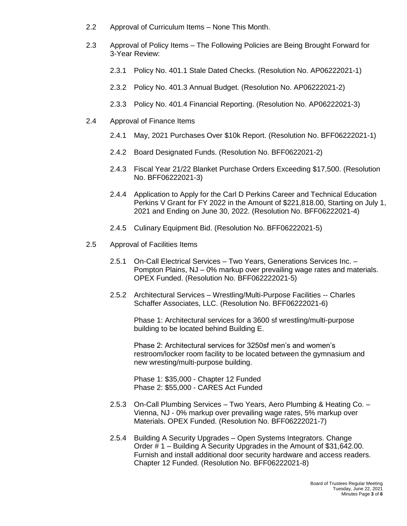- 2.2 Approval of Curriculum Items None This Month.
- 2.3 Approval of Policy Items The Following Policies are Being Brought Forward for 3-Year Review:
	- 2.3.1 Policy No. 401.1 Stale Dated Checks. (Resolution No. AP06222021-1)
	- 2.3.2 Policy No. 401.3 Annual Budget. (Resolution No. AP06222021-2)
	- 2.3.3 Policy No. 401.4 Financial Reporting. (Resolution No. AP06222021-3)
- 2.4 Approval of Finance Items
	- 2.4.1 May, 2021 Purchases Over \$10k Report. (Resolution No. BFF06222021-1)
	- 2.4.2 Board Designated Funds. (Resolution No. BFF0622021-2)
	- 2.4.3 Fiscal Year 21/22 Blanket Purchase Orders Exceeding \$17,500. (Resolution No. BFF06222021-3)
	- 2.4.4 Application to Apply for the Carl D Perkins Career and Technical Education Perkins V Grant for FY 2022 in the Amount of \$221,818.00, Starting on July 1, 2021 and Ending on June 30, 2022. (Resolution No. BFF06222021-4)
	- 2.4.5 Culinary Equipment Bid. (Resolution No. BFF06222021-5)
- 2.5 Approval of Facilities Items
	- 2.5.1 On-Call Electrical Services Two Years, Generations Services Inc. Pompton Plains, NJ – 0% markup over prevailing wage rates and materials. OPEX Funded. (Resolution No. BFF062222021-5)
	- 2.5.2 Architectural Services Wrestling/Multi-Purpose Facilities -- Charles Schaffer Associates, LLC. (Resolution No. BFF06222021-6)

Phase 1: Architectural services for a 3600 sf wrestling/multi-purpose building to be located behind Building E.

Phase 2: Architectural services for 3250sf men's and women's restroom/locker room facility to be located between the gymnasium and new wresting/multi-purpose building.

Phase 1: \$35,000 - Chapter 12 Funded Phase 2: \$55,000 - CARES Act Funded

- 2.5.3 On-Call Plumbing Services Two Years, Aero Plumbing & Heating Co. Vienna, NJ - 0% markup over prevailing wage rates, 5% markup over Materials. OPEX Funded. (Resolution No. BFF06222021-7)
- 2.5.4 Building A Security Upgrades Open Systems Integrators. Change Order # 1 – Building A Security Upgrades in the Amount of \$31,642.00. Furnish and install additional door security hardware and access readers. Chapter 12 Funded. (Resolution No. BFF06222021-8)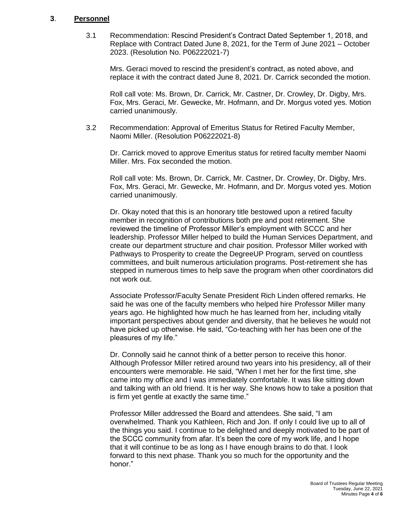#### **3**. **Personnel**

3.1 Recommendation: Rescind President's Contract Dated September 1, 2018, and Replace with Contract Dated June 8, 2021, for the Term of June 2021 – October 2023. (Resolution No. P06222021-7)

Mrs. Geraci moved to rescind the president's contract, as noted above, and replace it with the contract dated June 8, 2021. Dr. Carrick seconded the motion.

Roll call vote: Ms. Brown, Dr. Carrick, Mr. Castner, Dr. Crowley, Dr. Digby, Mrs. Fox, Mrs. Geraci, Mr. Gewecke, Mr. Hofmann, and Dr. Morgus voted yes. Motion carried unanimously.

3.2 Recommendation: Approval of Emeritus Status for Retired Faculty Member, Naomi Miller. (Resolution P06222021-8)

Dr. Carrick moved to approve Emeritus status for retired faculty member Naomi Miller. Mrs. Fox seconded the motion.

Roll call vote: Ms. Brown, Dr. Carrick, Mr. Castner, Dr. Crowley, Dr. Digby, Mrs. Fox, Mrs. Geraci, Mr. Gewecke, Mr. Hofmann, and Dr. Morgus voted yes. Motion carried unanimously.

Dr. Okay noted that this is an honorary title bestowed upon a retired faculty member in recognition of contributions both pre and post retirement. She reviewed the timeline of Professor Miller's employment with SCCC and her leadership. Professor Miller helped to build the Human Services Department, and create our department structure and chair position. Professor Miller worked with Pathways to Prosperity to create the DegreeUP Program, served on countless committees, and built numerous articiulation programs. Post-retirement she has stepped in numerous times to help save the program when other coordinators did not work out.

Associate Professor/Faculty Senate President Rich Linden offered remarks. He said he was one of the faculty members who helped hire Professor Miller many years ago. He highlighted how much he has learned from her, including vitally important perspectives about gender and diversity, that he believes he would not have picked up otherwise. He said, "Co-teaching with her has been one of the pleasures of my life."

Dr. Connolly said he cannot think of a better person to receive this honor. Although Professor Miller retired around two years into his presidency, all of their encounters were memorable. He said, "When I met her for the first time, she came into my office and I was immediately comfortable. It was like sitting down and talking with an old friend. It is her way. She knows how to take a position that is firm yet gentle at exactly the same time."

Professor Miller addressed the Board and attendees. She said, "I am overwhelmed. Thank you Kathleen, Rich and Jon. If only I could live up to all of the things you said. I continue to be delighted and deeply motivated to be part of the SCCC community from afar. It's been the core of my work life, and I hope that it will continue to be as long as I have enough brains to do that. I look forward to this next phase. Thank you so much for the opportunity and the honor."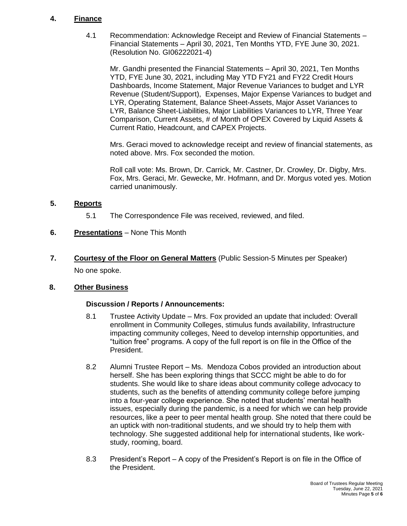# **4. Finance**

4.1 Recommendation: Acknowledge Receipt and Review of Financial Statements – Financial Statements – April 30, 2021, Ten Months YTD, FYE June 30, 2021. (Resolution No. GI06222021-4)

Mr. Gandhi presented the Financial Statements – April 30, 2021, Ten Months YTD, FYE June 30, 2021, including May YTD FY21 and FY22 Credit Hours Dashboards, Income Statement, Major Revenue Variances to budget and LYR Revenue (Student/Support), Expenses, Major Expense Variances to budget and LYR, Operating Statement, Balance Sheet-Assets, Major Asset Variances to LYR, Balance Sheet-Liabilities, Major Liabilities Variances to LYR, Three Year Comparison, Current Assets, # of Month of OPEX Covered by Liquid Assets & Current Ratio, Headcount, and CAPEX Projects.

Mrs. Geraci moved to acknowledge receipt and review of financial statements, as noted above. Mrs. Fox seconded the motion.

Roll call vote: Ms. Brown, Dr. Carrick, Mr. Castner, Dr. Crowley, Dr. Digby, Mrs. Fox, Mrs. Geraci, Mr. Gewecke, Mr. Hofmann, and Dr. Morgus voted yes. Motion carried unanimously.

### **5. Reports**

- 5.1 The Correspondence File was received, reviewed, and filed.
- **6. Presentations** None This Month
- **7. Courtesy of the Floor on General Matters** (Public Session-5 Minutes per Speaker) No one spoke.

## **8. Other Business**

#### **Discussion / Reports / Announcements:**

- 8.1 Trustee Activity Update Mrs. Fox provided an update that included: Overall enrollment in Community Colleges, stimulus funds availability, Infrastructure impacting community colleges, Need to develop internship opportunities, and "tuition free" programs. A copy of the full report is on file in the Office of the President.
- 8.2 Alumni Trustee Report Ms. Mendoza Cobos provided an introduction about herself. She has been exploring things that SCCC might be able to do for students. She would like to share ideas about community college advocacy to students, such as the benefits of attending community college before jumping into a four-year college experience. She noted that students' mental health issues, especially during the pandemic, is a need for which we can help provide resources, like a peer to peer mental health group. She noted that there could be an uptick with non-traditional students, and we should try to help them with technology. She suggested additional help for international students, like workstudy, rooming, board.
- 8.3 President's Report A copy of the President's Report is on file in the Office of the President.